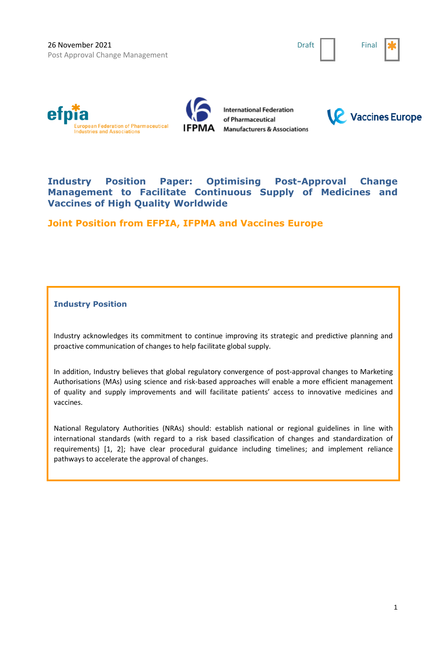Draft | Final







**International Federation** of Pharmaceutical **Manufacturers & Associations** 



# **Industry Position Paper: Optimising Post-Approval Change Management to Facilitate Continuous Supply of Medicines and Vaccines of High Quality Worldwide**

**Joint Position from EFPIA, IFPMA and Vaccines Europe**

**Industry Position**

Industry acknowledges its commitment to continue improving its strategic and predictive planning and proactive communication of changes to help facilitate global supply.

In addition, Industry believes that global regulatory convergence of post-approval changes to Marketing Authorisations (MAs) using science and risk-based approaches will enable a more efficient management of quality and supply improvements and will facilitate patients' access to innovative medicines and vaccines.

National Regulatory Authorities (NRAs) should: establish national or regional guidelines in line with international standards (with regard to a risk based classification of changes and standardization of requirements) [1, 2]; have clear procedural guidance including timelines; and implement reliance pathways to accelerate the approval of changes.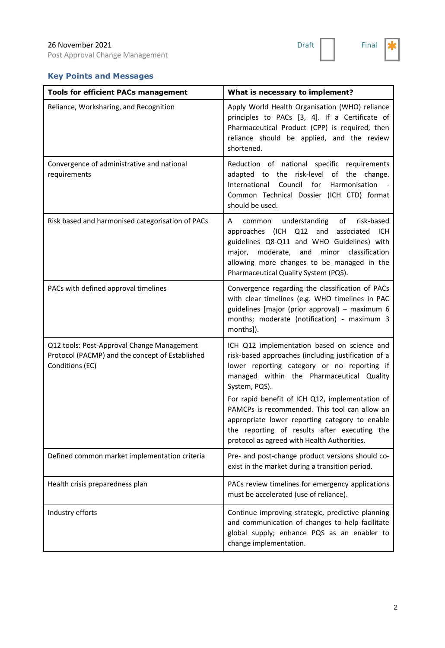Post Approval Change Management



# **Key Points and Messages**

| <b>Tools for efficient PACs management</b>                                                                       | What is necessary to implement?                                                                                                                                                                                                                                                                                                                                                                                                                                      |
|------------------------------------------------------------------------------------------------------------------|----------------------------------------------------------------------------------------------------------------------------------------------------------------------------------------------------------------------------------------------------------------------------------------------------------------------------------------------------------------------------------------------------------------------------------------------------------------------|
| Reliance, Worksharing, and Recognition                                                                           | Apply World Health Organisation (WHO) reliance<br>principles to PACs [3, 4]. If a Certificate of<br>Pharmaceutical Product (CPP) is required, then<br>reliance should be applied, and the review<br>shortened.                                                                                                                                                                                                                                                       |
| Convergence of administrative and national<br>requirements                                                       | Reduction of national specific requirements<br>adapted to the risk-level of the change.<br>Council<br>for<br>International<br>Harmonisation<br>Common Technical Dossier (ICH CTD) format<br>should be used.                                                                                                                                                                                                                                                          |
| Risk based and harmonised categorisation of PACs                                                                 | understanding of<br>risk-based<br>common<br>A<br>approaches (ICH Q12<br>and<br>associated<br>ICH<br>guidelines Q8-Q11 and WHO Guidelines) with<br>and minor classification<br>major, moderate,<br>allowing more changes to be managed in the<br>Pharmaceutical Quality System (PQS).                                                                                                                                                                                 |
| PACs with defined approval timelines                                                                             | Convergence regarding the classification of PACs<br>with clear timelines (e.g. WHO timelines in PAC<br>guidelines [major (prior approval) - maximum 6<br>months; moderate (notification) - maximum 3<br>months]).                                                                                                                                                                                                                                                    |
| Q12 tools: Post-Approval Change Management<br>Protocol (PACMP) and the concept of Established<br>Conditions (EC) | ICH Q12 implementation based on science and<br>risk-based approaches (including justification of a<br>lower reporting category or no reporting if<br>managed within the Pharmaceutical Quality<br>System, PQS).<br>For rapid benefit of ICH Q12, implementation of<br>PAMCPs is recommended. This tool can allow an<br>appropriate lower reporting category to enable<br>the reporting of results after executing the<br>protocol as agreed with Health Authorities. |
| Defined common market implementation criteria                                                                    | Pre- and post-change product versions should co-<br>exist in the market during a transition period.                                                                                                                                                                                                                                                                                                                                                                  |
| Health crisis preparedness plan                                                                                  | PACs review timelines for emergency applications<br>must be accelerated (use of reliance).                                                                                                                                                                                                                                                                                                                                                                           |
| Industry efforts                                                                                                 | Continue improving strategic, predictive planning<br>and communication of changes to help facilitate<br>global supply; enhance PQS as an enabler to<br>change implementation.                                                                                                                                                                                                                                                                                        |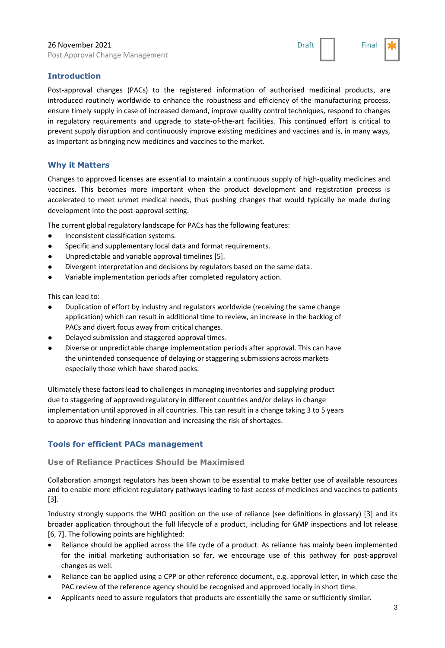Post Approval Change Management



## **Introduction**

Post-approval changes (PACs) to the registered information of authorised medicinal products, are introduced routinely worldwide to enhance the robustness and efficiency of the manufacturing process, ensure timely supply in case of increased demand, improve quality control techniques, respond to changes in regulatory requirements and upgrade to state-of-the-art facilities. This continued effort is critical to prevent supply disruption and continuously improve existing medicines and vaccines and is, in many ways, as important as bringing new medicines and vaccines to the market.

#### **Why it Matters**

Changes to approved licenses are essential to maintain a continuous supply of high-quality medicines and vaccines. This becomes more important when the product development and registration process is accelerated to meet unmet medical needs, thus pushing changes that would typically be made during development into the post-approval setting.

The current global regulatory landscape for PACs has the following features:

- Inconsistent classification systems.
- Specific and supplementary local data and format requirements.
- Unpredictable and variable approval timelines [5].
- Divergent interpretation and decisions by regulators based on the same data.
- Variable implementation periods after completed regulatory action.

This can lead to:

- Duplication of effort by industry and regulators worldwide (receiving the same change application) which can result in additional time to review, an increase in the backlog of PACs and divert focus away from critical changes.
- Delayed submission and staggered approval times.
- Diverse or unpredictable change implementation periods after approval. This can have the unintended consequence of delaying or staggering submissions across markets especially those which have shared packs.

Ultimately these factors lead to challenges in managing inventories and supplying product due to staggering of approved regulatory in different countries and/or delays in change implementation until approved in all countries. This can result in a change taking 3 to 5 years to approve thus hindering innovation and increasing the risk of shortages.

#### **Tools for efficient PACs management**

#### **Use of Reliance Practices Should be Maximised**

Collaboration amongst regulators has been shown to be essential to make better use of available resources and to enable more efficient regulatory pathways leading to fast access of medicines and vaccines to patients [3].

Industry strongly supports the WHO position on the use of reliance (see definitions in glossary) [3] and its broader application throughout the full lifecycle of a product, including for GMP inspections and lot release [6, 7]. The following points are highlighted:

- Reliance should be applied across the life cycle of a product. As reliance has mainly been implemented for the initial marketing authorisation so far, we encourage use of this pathway for post-approval changes as well.
- Reliance can be applied using a CPP or other reference document, e.g. approval letter, in which case the PAC review of the reference agency should be recognised and approved locally in short time.
- Applicants need to assure regulators that products are essentially the same or sufficiently similar.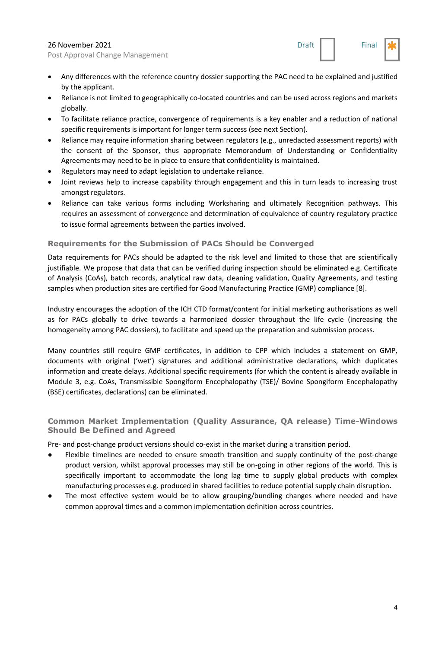Post Approval Change Management



- Any differences with the reference country dossier supporting the PAC need to be explained and justified by the applicant.
- Reliance is not limited to geographically co-located countries and can be used across regions and markets globally.
- To facilitate reliance practice, convergence of requirements is a key enabler and a reduction of national specific requirements is important for longer term success (see next Section).
- Reliance may require information sharing between regulators (e.g., unredacted assessment reports) with the consent of the Sponsor, thus appropriate Memorandum of Understanding or Confidentiality Agreements may need to be in place to ensure that confidentiality is maintained.
- Regulators may need to adapt legislation to undertake reliance.
- Joint reviews help to increase capability through engagement and this in turn leads to increasing trust amongst regulators.
- Reliance can take various forms including Worksharing and ultimately Recognition pathways. This requires an assessment of convergence and determination of equivalence of country regulatory practice to issue formal agreements between the parties involved.

## **Requirements for the Submission of PACs Should be Converged**

Data requirements for PACs should be adapted to the risk level and limited to those that are scientifically justifiable. We propose that data that can be verified during inspection should be eliminated e.g. Certificate of Analysis (CoAs), batch records, analytical raw data, cleaning validation, Quality Agreements, and testing samples when production sites are certified for Good Manufacturing Practice (GMP) compliance [8].

Industry encourages the adoption of the ICH CTD format/content for initial marketing authorisations as well as for PACs globally to drive towards a harmonized dossier throughout the life cycle (increasing the homogeneity among PAC dossiers), to facilitate and speed up the preparation and submission process.

Many countries still require GMP certificates, in addition to CPP which includes a statement on GMP, documents with original ('wet') signatures and additional administrative declarations, which duplicates information and create delays. Additional specific requirements (for which the content is already available in Module 3, e.g. CoAs, Transmissible Spongiform Encephalopathy (TSE)/ Bovine Spongiform Encephalopathy (BSE) certificates, declarations) can be eliminated.

## **Common Market Implementation (Quality Assurance, QA release) Time-Windows Should Be Defined and Agreed**

Pre- and post-change product versions should co-exist in the market during a transition period.

- Flexible timelines are needed to ensure smooth transition and supply continuity of the post-change product version, whilst approval processes may still be on-going in other regions of the world. This is specifically important to accommodate the long lag time to supply global products with complex manufacturing processes e.g. produced in shared facilities to reduce potential supply chain disruption.
- The most effective system would be to allow grouping/bundling changes where needed and have common approval times and a common implementation definition across countries.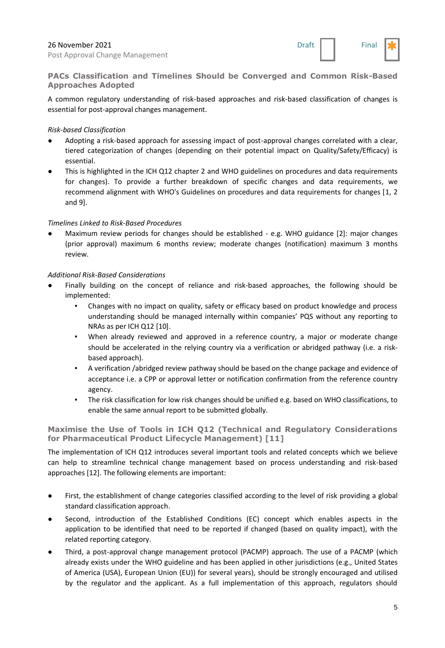

**PACs Classification and Timelines Should be Converged and Common Risk-Based Approaches Adopted**

A common regulatory understanding of risk-based approaches and risk-based classification of changes is essential for post-approval changes management.

#### *Risk-based Classification*

- Adopting a risk-based approach for assessing impact of post-approval changes correlated with a clear, tiered categorization of changes (depending on their potential impact on Quality/Safety/Efficacy) is essential.
- This is highlighted in the ICH Q12 chapter 2 and WHO guidelines on procedures and data requirements for changes). To provide a further breakdown of specific changes and data requirements, we recommend alignment with WHO's Guidelines on procedures and data requirements for changes [1, 2 and 9].

#### *Timelines Linked to Risk-Based Procedures*

Maximum review periods for changes should be established - e.g. WHO guidance [2]: major changes (prior approval) maximum 6 months review; moderate changes (notification) maximum 3 months review.

#### *Additional Risk-Based Considerations*

- Finally building on the concept of reliance and risk-based approaches, the following should be implemented:
	- Changes with no impact on quality, safety or efficacy based on product knowledge and process understanding should be managed internally within companies' PQS without any reporting to NRAs as per ICH Q12 [10].
	- When already reviewed and approved in a reference country, a major or moderate change should be accelerated in the relying country via a verification or abridged pathway (i.e. a riskbased approach).
	- A verification /abridged review pathway should be based on the change package and evidence of acceptance i.e. a CPP or approval letter or notification confirmation from the reference country agency.
	- The risk classification for low risk changes should be unified e.g. based on WHO classifications, to enable the same annual report to be submitted globally.

**Maximise the Use of Tools in ICH Q12 (Technical and Regulatory Considerations for Pharmaceutical Product Lifecycle Management) [11]**

The implementation of ICH Q12 introduces several important tools and related concepts which we believe can help to streamline technical change management based on process understanding and risk-based approaches [12]. The following elements are important:

- First, the establishment of change categories classified according to the level of risk providing a global standard classification approach.
- Second, introduction of the Established Conditions (EC) concept which enables aspects in the application to be identified that need to be reported if changed (based on quality impact), with the related reporting category.
- Third, a post-approval change management protocol (PACMP) approach. The use of a PACMP (which already exists under the WHO guideline and has been applied in other jurisdictions (e.g., United States of America (USA), European Union (EU)) for several years), should be strongly encouraged and utilised by the regulator and the applicant. As a full implementation of this approach, regulators should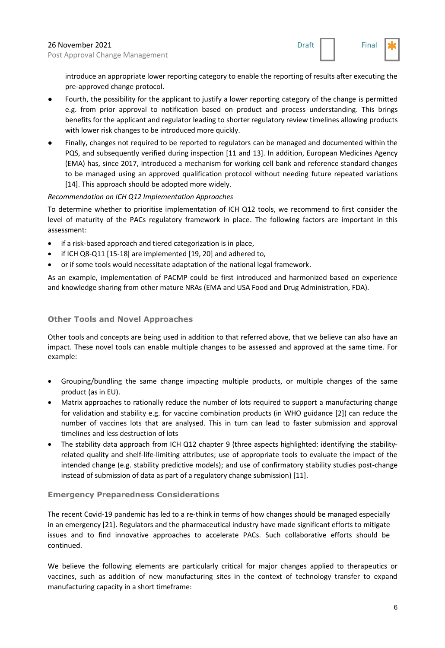

introduce an appropriate lower reporting category to enable the reporting of results after executing the pre-approved change protocol.

- Fourth, the possibility for the applicant to justify a lower reporting category of the change is permitted e.g. from prior approval to notification based on product and process understanding. This brings benefits for the applicant and regulator leading to shorter regulatory review timelines allowing products with lower risk changes to be introduced more quickly.
- Finally, changes not required to be reported to regulators can be managed and documented within the PQS, and subsequently verified during inspection [11 and 13]. In addition, European Medicines Agency (EMA) has, since 2017, introduced a mechanism for working cell bank and reference standard changes to be managed using an approved qualification protocol without needing future repeated variations [14]. This approach should be adopted more widely.

## *Recommendation on ICH Q12 Implementation Approaches*

To determine whether to prioritise implementation of ICH Q12 tools, we recommend to first consider the level of maturity of the PACs regulatory framework in place. The following factors are important in this assessment:

- if a risk-based approach and tiered categorization is in place,
- if ICH Q8-Q11 [15-18] are implemented [19, 20] and adhered to,
- or if some tools would necessitate adaptation of the national legal framework.

As an example, implementation of PACMP could be first introduced and harmonized based on experience and knowledge sharing from other mature NRAs (EMA and USA Food and Drug Administration, FDA).

## **Other Tools and Novel Approaches**

Other tools and concepts are being used in addition to that referred above, that we believe can also have an impact. These novel tools can enable multiple changes to be assessed and approved at the same time. For example:

- Grouping/bundling the same change impacting multiple products, or multiple changes of the same product (as in EU).
- Matrix approaches to rationally reduce the number of lots required to support a manufacturing change for validation and stability e.g. for vaccine combination products (in WHO guidance [2]) can reduce the number of vaccines lots that are analysed. This in turn can lead to faster submission and approval timelines and less destruction of lots
- The stability data approach from ICH Q12 chapter 9 (three aspects highlighted: identifying the stabilityrelated quality and shelf-life-limiting attributes; use of appropriate tools to evaluate the impact of the intended change (e.g. stability predictive models); and use of confirmatory stability studies post-change instead of submission of data as part of a regulatory change submission) [11].

#### **Emergency Preparedness Considerations**

The recent Covid-19 pandemic has led to a re-think in terms of how changes should be managed especially in an emergency [21]. Regulators and the pharmaceutical industry have made significant efforts to mitigate issues and to find innovative approaches to accelerate PACs. Such collaborative efforts should be continued.

We believe the following elements are particularly critical for major changes applied to therapeutics or vaccines, such as addition of new manufacturing sites in the context of technology transfer to expand manufacturing capacity in a short timeframe: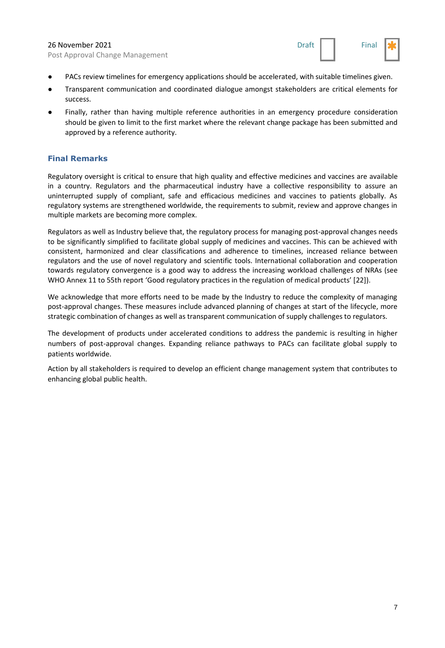Post Approval Change Management



- PACs review timelines for emergency applications should be accelerated, with suitable timelines given.
- Transparent communication and coordinated dialogue amongst stakeholders are critical elements for success.
- Finally, rather than having multiple reference authorities in an emergency procedure consideration should be given to limit to the first market where the relevant change package has been submitted and approved by a reference authority.

# **Final Remarks**

Regulatory oversight is critical to ensure that high quality and effective medicines and vaccines are available in a country. Regulators and the pharmaceutical industry have a collective responsibility to assure an uninterrupted supply of compliant, safe and efficacious medicines and vaccines to patients globally. As regulatory systems are strengthened worldwide, the requirements to submit, review and approve changes in multiple markets are becoming more complex.

Regulators as well as Industry believe that, the regulatory process for managing post-approval changes needs to be significantly simplified to facilitate global supply of medicines and vaccines. This can be achieved with consistent, harmonized and clear classifications and adherence to timelines, increased reliance between regulators and the use of novel regulatory and scientific tools. International collaboration and cooperation towards regulatory convergence is a good way to address the increasing workload challenges of NRAs (see WHO Annex 11 to 55th report 'Good regulatory practices in the regulation of medical products' [22]).

We acknowledge that more efforts need to be made by the Industry to reduce the complexity of managing post-approval changes. These measures include advanced planning of changes at start of the lifecycle, more strategic combination of changes as well as transparent communication of supply challenges to regulators.

The development of products under accelerated conditions to address the pandemic is resulting in higher numbers of post-approval changes. Expanding reliance pathways to PACs can facilitate global supply to patients worldwide.

Action by all stakeholders is required to develop an efficient change management system that contributes to enhancing global public health.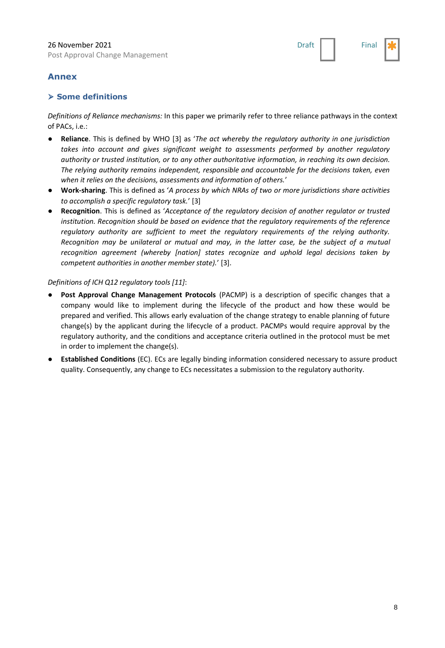

# **Annex**

## ⮚ **Some definitions**

*Definitions of Reliance mechanisms:* In this paper we primarily refer to three reliance pathways in the context of PACs, i.e.:

- **Reliance**. This is defined by WHO [3] as '*The act whereby the regulatory authority in one jurisdiction takes into account and gives significant weight to assessments performed by another regulatory authority or trusted institution, or to any other authoritative information, in reaching its own decision. The relying authority remains independent, responsible and accountable for the decisions taken, even when it relies on the decisions, assessments and information of others.*'
- **Work-sharing**. This is defined as '*A process by which NRAs of two or more jurisdictions share activities to accomplish a specific regulatory task.*' [3]
- **Recognition**. This is defined as '*Acceptance of the regulatory decision of another regulator or trusted institution. Recognition should be based on evidence that the regulatory requirements of the reference regulatory authority are sufficient to meet the regulatory requirements of the relying authority. Recognition may be unilateral or mutual and may, in the latter case, be the subject of a mutual recognition agreement (whereby [nation] states recognize and uphold legal decisions taken by competent authorities in another member state).*' [3].

#### *Definitions of ICH Q12 regulatory tools [11]*:

- Post Approval Change Management Protocols (PACMP) is a description of specific changes that a company would like to implement during the lifecycle of the product and how these would be prepared and verified. This allows early evaluation of the change strategy to enable planning of future change(s) by the applicant during the lifecycle of a product. PACMPs would require approval by the regulatory authority, and the conditions and acceptance criteria outlined in the protocol must be met in order to implement the change(s).
- **Established Conditions** (EC). ECs are legally binding information considered necessary to assure product quality. Consequently, any change to ECs necessitates a submission to the regulatory authority.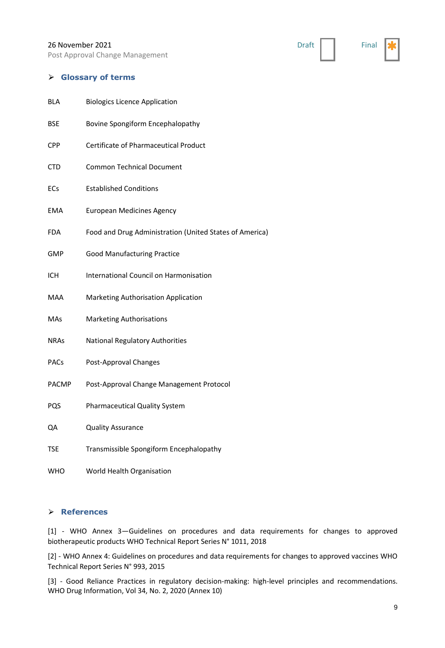Post Approval Change Management

#### ⮚ **Glossary of terms**

| <b>BLA</b>   | <b>Biologics Licence Application</b>                    |
|--------------|---------------------------------------------------------|
| <b>BSE</b>   | Bovine Spongiform Encephalopathy                        |
| <b>CPP</b>   | Certificate of Pharmaceutical Product                   |
| <b>CTD</b>   | <b>Common Technical Document</b>                        |
| ECs          | <b>Established Conditions</b>                           |
| EMA          | <b>European Medicines Agency</b>                        |
| FDA          | Food and Drug Administration (United States of America) |
| GMP          | <b>Good Manufacturing Practice</b>                      |
| ICH          | International Council on Harmonisation                  |
| <b>MAA</b>   | Marketing Authorisation Application                     |
| MAs          | <b>Marketing Authorisations</b>                         |
| <b>NRAs</b>  | <b>National Regulatory Authorities</b>                  |
| <b>PACs</b>  | Post-Approval Changes                                   |
| <b>PACMP</b> | Post-Approval Change Management Protocol                |
| PQS          | <b>Pharmaceutical Quality System</b>                    |
| QA           | <b>Quality Assurance</b>                                |
| <b>TSE</b>   | Transmissible Spongiform Encephalopathy                 |
| WHO          | World Health Organisation                               |

#### ⮚ **References**

[1] - WHO Annex 3—Guidelines on procedures and data requirements for changes to approved biotherapeutic products WHO Technical Report Series N° 1011, 2018

[2] - WHO Annex 4: Guidelines on procedures and data requirements for changes to approved vaccines WHO Technical Report Series N° 993, 2015

[3] - Good Reliance Practices in regulatory decision-making: high-level principles and recommendations. WHO Drug Information, Vol 34, No. 2, 2020 (Annex 10)

Draft | Final